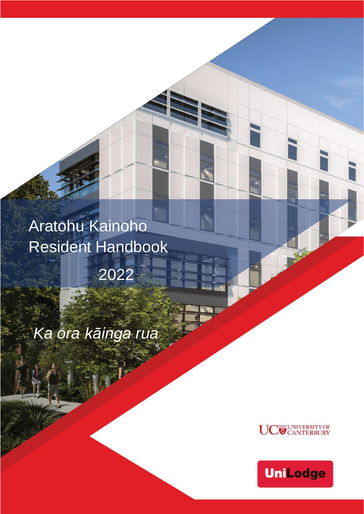Aratohu Kainoho Resident Handbook

2022

*Ka ora kāinga rua*



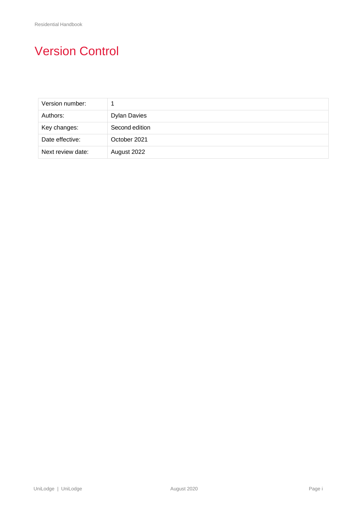# Version Control

| Version number:   |                     |
|-------------------|---------------------|
| Authors:          | <b>Dylan Davies</b> |
| Key changes:      | Second edition      |
| Date effective:   | October 2021        |
| Next review date: | August 2022         |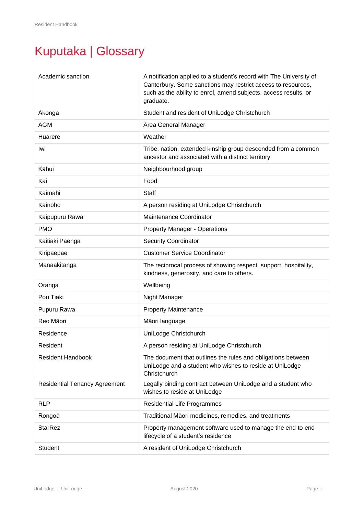# Kuputaka | Glossary

| Academic sanction                    | A notification applied to a student's record with The University of<br>Canterbury. Some sanctions may restrict access to resources,<br>such as the ability to enrol, amend subjects, access results, or<br>graduate. |  |
|--------------------------------------|----------------------------------------------------------------------------------------------------------------------------------------------------------------------------------------------------------------------|--|
| Ākonga                               | Student and resident of UniLodge Christchurch                                                                                                                                                                        |  |
| <b>AGM</b>                           | Area General Manager                                                                                                                                                                                                 |  |
| Huarere                              | Weather                                                                                                                                                                                                              |  |
| Iwi                                  | Tribe, nation, extended kinship group descended from a common<br>ancestor and associated with a distinct territory                                                                                                   |  |
| Kāhui                                | Neighbourhood group                                                                                                                                                                                                  |  |
| Kai                                  | Food                                                                                                                                                                                                                 |  |
| Kaimahi                              | Staff                                                                                                                                                                                                                |  |
| Kainoho                              | A person residing at UniLodge Christchurch                                                                                                                                                                           |  |
| Kaipupuru Rawa                       | Maintenance Coordinator                                                                                                                                                                                              |  |
| <b>PMO</b>                           | <b>Property Manager - Operations</b>                                                                                                                                                                                 |  |
| Kaitiaki Paenga                      | <b>Security Coordinator</b>                                                                                                                                                                                          |  |
| Kiripaepae                           | <b>Customer Service Coordinator</b>                                                                                                                                                                                  |  |
| Manaakitanga                         | The reciprocal process of showing respect, support, hospitality,<br>kindness, generosity, and care to others.                                                                                                        |  |
| Oranga                               | Wellbeing                                                                                                                                                                                                            |  |
| Pou Tiaki                            | Night Manager                                                                                                                                                                                                        |  |
| Pupuru Rawa                          | <b>Property Maintenance</b>                                                                                                                                                                                          |  |
| Reo Māori                            | Māori language                                                                                                                                                                                                       |  |
| Residence                            | UniLodge Christchurch                                                                                                                                                                                                |  |
| Resident                             | A person residing at UniLodge Christchurch                                                                                                                                                                           |  |
| <b>Resident Handbook</b>             | The document that outlines the rules and obligations between<br>UniLodge and a student who wishes to reside at UniLodge<br>Christchurch                                                                              |  |
| <b>Residential Tenancy Agreement</b> | Legally binding contract between UniLodge and a student who<br>wishes to reside at UniLodge                                                                                                                          |  |
| <b>RLP</b>                           | <b>Residential Life Programmes</b>                                                                                                                                                                                   |  |
| Rongoā                               | Traditional Māori medicines, remedies, and treatments                                                                                                                                                                |  |
| <b>StarRez</b>                       | Property management software used to manage the end-to-end<br>lifecycle of a student's residence                                                                                                                     |  |
| Student                              | A resident of UniLodge Christchurch                                                                                                                                                                                  |  |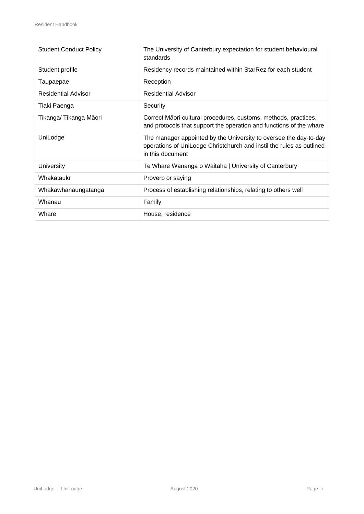| <b>Student Conduct Policy</b> | The University of Canterbury expectation for student behavioural<br>standards                                                                                 |  |
|-------------------------------|---------------------------------------------------------------------------------------------------------------------------------------------------------------|--|
| Student profile               | Residency records maintained within StarRez for each student                                                                                                  |  |
| Taupaepae                     | Reception                                                                                                                                                     |  |
| <b>Residential Advisor</b>    | <b>Residential Advisor</b>                                                                                                                                    |  |
| Tiaki Paenga                  | Security                                                                                                                                                      |  |
| Tikanga/Tikanga Māori         | Correct Māori cultural procedures, customs, methods, practices,<br>and protocols that support the operation and functions of the whare                        |  |
| UniLodge                      | The manager appointed by the University to oversee the day-to-day<br>operations of UniLodge Christchurch and instil the rules as outlined<br>in this document |  |
| University                    | Te Whare Wānanga o Waitaha   University of Canterbury                                                                                                         |  |
| Whakataukī                    | Proverb or saying                                                                                                                                             |  |
| Whakawhanaungatanga           | Process of establishing relationships, relating to others well                                                                                                |  |
| Whānau                        | Family                                                                                                                                                        |  |
| Whare                         | House, residence                                                                                                                                              |  |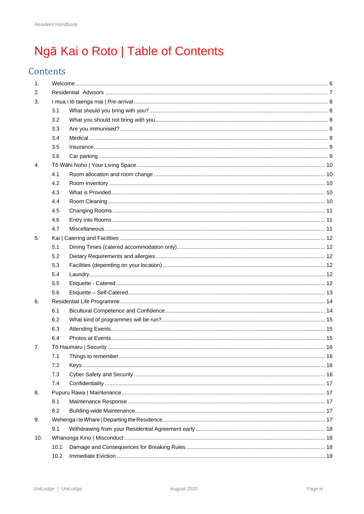# Ngā Kai o Roto | Table of Contents

# Contents

| 1.  |      |  |  |
|-----|------|--|--|
| 2.  |      |  |  |
| 3.  |      |  |  |
|     | 3.1  |  |  |
|     | 3.2  |  |  |
|     | 3.3  |  |  |
|     | 3.4  |  |  |
|     | 3.5  |  |  |
|     | 3.6  |  |  |
| 4.  |      |  |  |
|     | 4.1  |  |  |
|     | 4.2  |  |  |
|     | 4.3  |  |  |
|     | 4.4  |  |  |
|     | 4.5  |  |  |
|     | 4.6  |  |  |
|     | 4.7  |  |  |
| 5.  |      |  |  |
|     | 5.1  |  |  |
|     | 5.2  |  |  |
|     | 5.3  |  |  |
|     | 5.4  |  |  |
|     | 5.5  |  |  |
|     | 5.6  |  |  |
| 6.  |      |  |  |
|     | 6.1  |  |  |
|     | 6.2  |  |  |
|     | 6.3  |  |  |
|     | 6.4  |  |  |
| 7.  |      |  |  |
|     | 7.1  |  |  |
|     | 7.2  |  |  |
|     | 7.3  |  |  |
|     | 7.4  |  |  |
| 8.  |      |  |  |
|     | 8.1  |  |  |
|     | 8.2  |  |  |
| 9.  |      |  |  |
|     | 9.1  |  |  |
| 10. |      |  |  |
|     | 10.1 |  |  |
|     | 10.2 |  |  |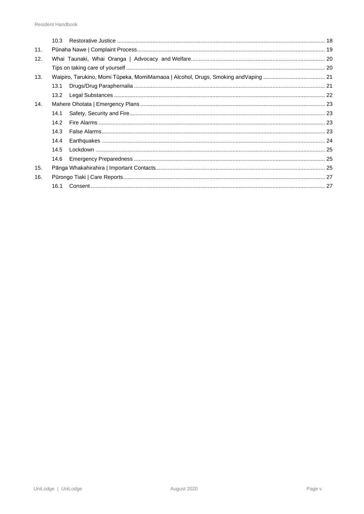|     | 10.3              |                                                                                     |  |
|-----|-------------------|-------------------------------------------------------------------------------------|--|
| 11. |                   |                                                                                     |  |
| 12. |                   |                                                                                     |  |
|     |                   |                                                                                     |  |
| 13. |                   | Waipiro, Tarukino, Momi Tūpeka, MomiMamaoa   Alcohol, Drugs, Smoking and Vaping  21 |  |
|     | 13.1              |                                                                                     |  |
|     | 13.2 <sub>2</sub> |                                                                                     |  |
| 14. |                   |                                                                                     |  |
|     | 14.1              |                                                                                     |  |
|     | 14.2              |                                                                                     |  |
|     | 14.3              |                                                                                     |  |
|     | 14.4              |                                                                                     |  |
|     | 14.5              |                                                                                     |  |
|     | 14.6              |                                                                                     |  |
| 15. |                   |                                                                                     |  |
| 16. |                   |                                                                                     |  |
|     | 16.1              |                                                                                     |  |
|     |                   |                                                                                     |  |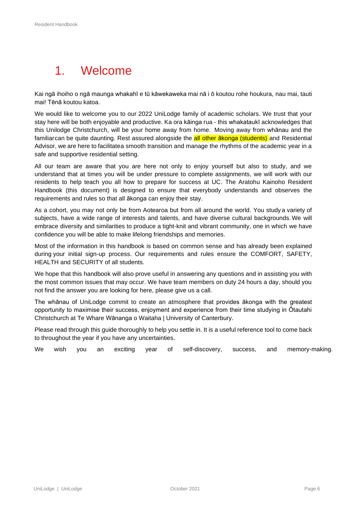# <span id="page-6-0"></span>1. Welcome

Kai ngā ihoiho o ngā maunga whakahī e tū kāwekaweka mai nā i ō koutou rohe houkura, nau mai, tauti mai! Tēnā koutou katoa.

We would like to welcome you to our 2022 UniLodge family of academic scholars. We trust that your stay here will be both enjoyable and productive. Ka ora kāinga rua - this whakataukī acknowledges that this Unilodge Christchurch, will be your home away from home. Moving away from whānau and the familiarcan be quite daunting. Rest assured alongside the all other akonga (students) and Residential Advisor, we are here to facilitatea smooth transition and manage the rhythms of the academic year in a safe and supportive residential setting.

All our team are aware that you are here not only to enjoy yourself but also to study, and we understand that at times you will be under pressure to complete assignments, we will work with our residents to help teach you all how to prepare for success at UC. The Aratohu Kainoho Resident Handbook (this document) is designed to ensure that everybody understands and observes the requirements and rules so that all ākonga can enjoy their stay.

As a cohort, you may not only be from Aotearoa but from all around the world. You studya variety of subjects, have a wide range of interests and talents, and have diverse cultural backgrounds.We will embrace diversity and similarities to produce a tight-knit and vibrant community, one in which we have confidence you will be able to make lifelong friendships and memories.

Most of the information in this handbook is based on common sense and has already been explained during your initial sign-up process. Our requirements and rules ensure the COMFORT, SAFETY, HEALTH and SECURITY of all students.

We hope that this handbook will also prove useful in answering any questions and in assisting you with the most common issues that may occur. We have team members on duty 24 hours a day, should you not find the answer you are looking for here, please give us a call.

The whānau of UniLodge commit to create an atmosphere that provides ākonga with the greatest opportunity to maximise their success, enjoyment and experience from their time studying in Ōtautahi Christchurch at Te Whare Wānanga o Waitaha | University of Canterbury.

Please read through this guide thoroughly to help you settle in. It is a useful reference tool to come back to throughout the year if you have any uncertainties.

We wish you an exciting year of self-discovery, success, and memory-making.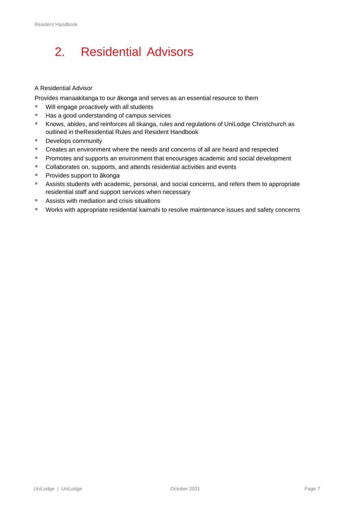# <span id="page-7-0"></span>2. Residential Advisors

#### A Residential Advisor

Provides manaakitanga to our ākonga and serves as an essential resource to them

- Will engage proactively with all students
- Has a good understanding of campus services
- Knows, abides, and reinforces all tikanga, rules and regulations of UniLodge Christchurch as outlined in theResidential Rules and Resident Handbook
- Develops community
- Creates an environment where the needs and concerns of all are heard and respected
- Promotes and supports an environment that encourages academic and social development
- Collaborates on, supports, and attends residential activities and events
- Provides support to ākonga
- Assists students with academic, personal, and social concerns, and refers them to appropriate residential staff and support services when necessary
- Assists with mediation and crisis situations
- Works with appropriate residential kaimahi to resolve maintenance issues and safety concerns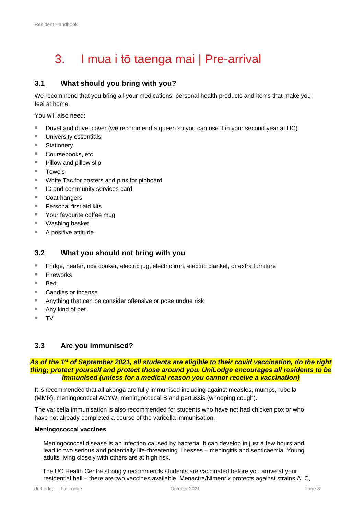# <span id="page-8-0"></span>3. I mua i tō taenga mai | Pre-arrival

# <span id="page-8-1"></span>**3.1 What should you bring with you?**

We recommend that you bring all your medications, personal health products and items that make you feel at home.

You will also need:

- Duvet and duvet cover (we recommend a queen so you can use it in your second year at UC)
- University essentials
- Stationery
- Coursebooks, etc
- Pillow and pillow slip
- Towels
- White Tac for posters and pins for pinboard
- ID and community services card
- Coat hangers
- Personal first aid kits
- Your favourite coffee mug
- Washing basket
- A positive attitude

### <span id="page-8-2"></span>**3.2 What you should not bring with you**

- Fridge, heater, rice cooker, electric jug, electric iron, electric blanket, or extra furniture
- **Fireworks**
- **Bed**
- Candles or incense
- Anything that can be consider offensive or pose undue risk
- Any kind of pet
- TV

### <span id="page-8-3"></span>**3.3 Are you immunised?**

#### *As of the 1st of September 2021, all students are eligible to their covid vaccination, do the right thing; protect yourself and protect those around you. UniLodge encourages all residents to be immunised (unless for a medical reason you cannot receive a vaccination)*

It is recommended that all ākonga are fully immunised including against measles, mumps, rubella (MMR), meningococcal ACYW, meningococcal B and pertussis (whooping cough).

The varicella immunisation is also recommended for students who have not had chicken pox or who have not already completed a course of the varicella immunisation.

#### **Meningococcal vaccines**

Meningococcal disease is an infection caused by bacteria. It can develop in just a few hours and lead to two serious and potentially life-threatening illnesses – meningitis and septicaemia. Young adults living closely with others are at high risk.

The UC Health Centre strongly recommends students are vaccinated before you arrive at your residential hall – there are two vaccines available. Menactra/Nimenrix protects against strains A, C,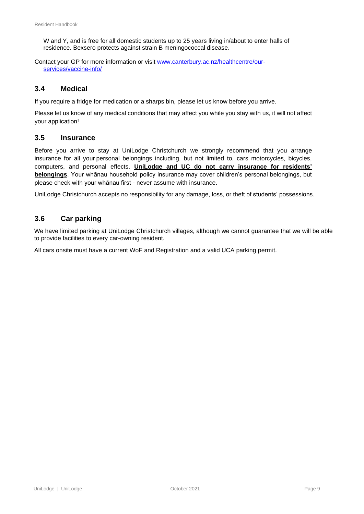W and Y, and is free for all domestic students up to 25 years living in/about to enter halls of residence. Bexsero protects against strain B meningococcal disease.

Contact your GP for more information or visit [www.canterbury.ac.nz/healthcentre/our](http://www.canterbury.ac.nz/healthcentre/our-services/vaccine-info/)[services/vaccine-info/](http://www.canterbury.ac.nz/healthcentre/our-services/vaccine-info/)

### <span id="page-9-0"></span>**3.4 Medical**

If you require a fridge for medication or a sharps bin, please let us know before you arrive.

Please let us know of any medical conditions that may affect you while you stay with us, it will not affect your application!

### <span id="page-9-1"></span>**3.5 Insurance**

Before you arrive to stay at UniLodge Christchurch we strongly recommend that you arrange insurance for all your personal belongings including, but not limited to, cars motorcycles, bicycles, computers, and personal effects. **UniLodge and UC do not carry insurance for residents' belongings**. Your whānau household policy insurance may cover children's personal belongings, but please check with your whānau first - never assume with insurance.

UniLodge Christchurch accepts no responsibility for any damage, loss, or theft of students' possessions.

## <span id="page-9-2"></span>**3.6 Car parking**

We have limited parking at UniLodge Christchurch villages, although we cannot guarantee that we will be able to provide facilities to every car-owning resident.

All cars onsite must have a current WoF and Registration and a valid UCA parking permit.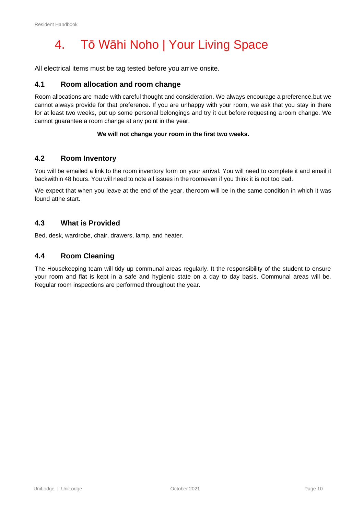# <span id="page-10-0"></span>4. Tō Wāhi Noho | Your Living Space

All electrical items must be tag tested before you arrive onsite.

### <span id="page-10-1"></span>**4.1 Room allocation and room change**

Room allocations are made with careful thought and consideration. We always encourage a preference,but we cannot always provide for that preference. If you are unhappy with your room, we ask that you stay in there for at least two weeks, put up some personal belongings and try it out before requesting aroom change. We cannot guarantee a room change at any point in the year.

#### **We will not change your room in the first two weeks.**

### <span id="page-10-2"></span>**4.2 Room Inventory**

You will be emailed a link to the room inventory form on your arrival. You will need to complete it and email it backwithin 48 hours. You will need to note all issues in the roomeven if you think it is not too bad.

We expect that when you leave at the end of the year, theroom will be in the same condition in which it was found atthe start.

### <span id="page-10-3"></span>**4.3 What is Provided**

Bed, desk, wardrobe, chair, drawers, lamp, and heater.

### <span id="page-10-4"></span>**4.4 Room Cleaning**

The Housekeeping team will tidy up communal areas regularly. It the responsibility of the student to ensure your room and flat is kept in a safe and hygienic state on a day to day basis. Communal areas will be. Regular room inspections are performed throughout the year.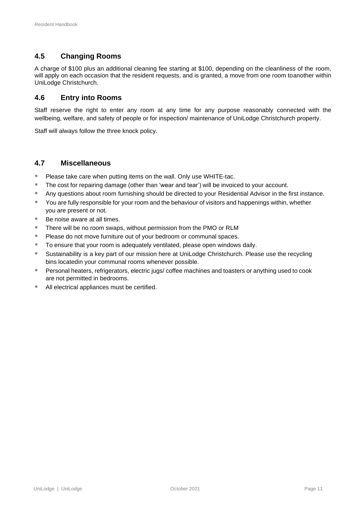# <span id="page-11-0"></span>**4.5 Changing Rooms**

A charge of \$100 plus an additional cleaning fee starting at \$100, depending on the cleanliness of the room, will apply on each occasion that the resident requests, and is granted, a move from one room toanother within UniLodge Christchurch.

## <span id="page-11-1"></span>**4.6 Entry into Rooms**

Staff reserve the right to enter any room at any time for any purpose reasonably connected with the wellbeing, welfare, and safety of people or for inspection/ maintenance of UniLodge Christchurch property.

Staff will always follow the three knock policy.

### <span id="page-11-2"></span>**4.7 Miscellaneous**

- Please take care when putting items on the wall. Only use WHITE-tac.
- The cost for repairing damage (other than 'wear and tear') will be invoiced to your account.
- Any questions about room furnishing should be directed to your Residential Advisor in the first instance.
- You are fully responsible for your room and the behaviour of visitors and happenings within, whether you are present or not.
- Be noise aware at all times.
- There will be no room swaps, without permission from the PMO or RLM
- Please do not move furniture out of your bedroom or communal spaces.
- To ensure that your room is adequately ventilated, please open windows daily.
- Sustainability is a key part of our mission here at UniLodge Christchurch. Please use the recycling bins locatedin your communal rooms whenever possible.
- **E** Personal heaters, refrigerators, electric jugs/ coffee machines and toasters or anything used to cook are not permitted in bedrooms.
- All electrical appliances must be certified.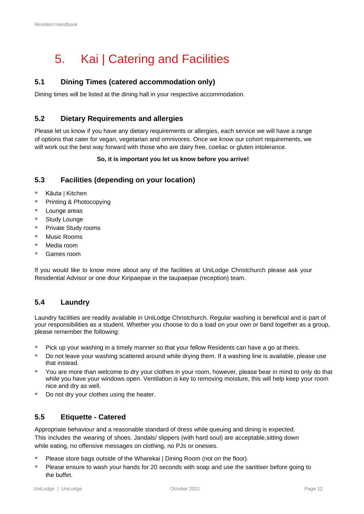# <span id="page-12-0"></span>5. Kai | Catering and Facilities

# <span id="page-12-1"></span>**5.1 Dining Times (catered accommodation only)**

Dining times will be listed at the dining hall in your respective accommodation.

### <span id="page-12-2"></span>**5.2 Dietary Requirements and allergies**

Please let us know if you have any dietary requirements or allergies, each service we will have a range of options that cater for vegan, vegetarian and omnivores. Once we know our cohort requirements, we will work out the best way forward with those who are dairy free, coeliac or gluten intolerance.

#### **So, it is important you let us know before you arrive!**

## <span id="page-12-3"></span>**5.3 Facilities (depending on your location)**

- Kāuta | Kitchen
- Printing & Photocopying
- Lounge areas
- Study Lounge
- Private Study rooms
- Music Rooms
- Media room
- Games room

If you would like to know more about any of the facilities at UniLodge Christchurch please ask your Residential Advisor or one dour Kiripaepae in the taupaepae (reception) team.

## <span id="page-12-4"></span>**5.4 Laundry**

Laundry facilities are readily available in UniLodge Christchurch. Regular washing is beneficial and is part of your responsibilities as a student. Whether you choose to do a load on your own or band together as a group, please remember the following:

- Pick up your washing in a timely manner so that your fellow Residents can have a go at theirs.
- Do not leave your washing scattered around while drying them. If a washing line is available, please use that instead.
- You are more than welcome to dry your clothes in your room, however, please bear in mind to only do that while you have your windows open. Ventilation is key to removing moisture, this will help keep your room nice and dry as well.
- Do not dry your clothes using the heater.

## <span id="page-12-5"></span>**5.5 Etiquette - Catered**

Appropriate behaviour and a reasonable standard of dress while queuing and dining is expected. This includes the wearing of shoes. Jandals/ slippers (with hard soul) are acceptable,sitting down while eating, no offensive messages on clothing, no PJs or onesies.

- **E** Please store bags outside of the Wharekai | Dining Room (not on the floor).
- **E** Please ensure to wash your hands for 20 seconds with soap and use the sanitiser before going to the buffet.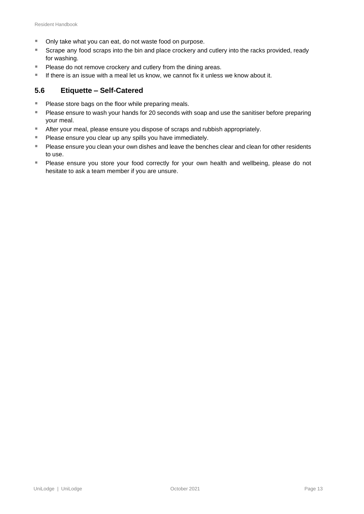- Only take what you can eat, do not waste food on purpose.
- Scrape any food scraps into the bin and place crockery and cutlery into the racks provided, ready for washing.
- Please do not remove crockery and cutlery from the dining areas.
- **If there is an issue with a meal let us know, we cannot fix it unless we know about it.**

### <span id="page-13-0"></span>**5.6 Etiquette – Self-Catered**

- Please store bags on the floor while preparing meals.
- Please ensure to wash your hands for 20 seconds with soap and use the sanitiser before preparing your meal.
- After your meal, please ensure you dispose of scraps and rubbish appropriately.
- Please ensure you clear up any spills you have immediately.
- Please ensure you clean your own dishes and leave the benches clear and clean for other residents to use.
- Please ensure you store your food correctly for your own health and wellbeing, please do not hesitate to ask a team member if you are unsure.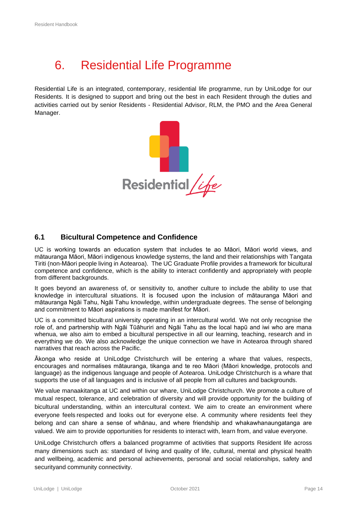# <span id="page-14-0"></span>6. Residential Life Programme

Residential Life is an integrated, contemporary, residential life programme, run by UniLodge for our Residents. It is designed to support and bring out the best in each Resident through the duties and activities carried out by senior Residents - Residential Advisor, RLM, the PMO and the Area General Manager.



### <span id="page-14-1"></span>**6.1 Bicultural Competence and Confidence**

UC is working towards an education system that includes te ao Māori, Māori world views, and mātauranga Māori, Māori indigenous knowledge systems, the land and their relationships with Tangata Tiriti (non-Māori people living in Aotearoa). The UC Graduate Profile provides a framework for bicultural competence and confidence, which is the ability to interact confidently and appropriately with people from different backgrounds.

It goes beyond an awareness of, or sensitivity to, another culture to include the ability to use that knowledge in intercultural situations. It is focused upon the inclusion of mātauranga Māori and mātauranga Ngāi Tahu, Ngāi Tahu knowledge, within undergraduate degrees. The sense of belonging and commitment to Māori aspirations is made manifest for Māori.

UC is a committed bicultural university operating in an intercultural world. We not only recognise the role of, and partnership with Ngāi Tūāhuriri and Ngāi Tahu as the local hapū and iwi who are mana whenua, we also aim to embed a bicultural perspective in all our learning, teaching, research and in everything we do. We also acknowledge the unique connection we have in Aotearoa through shared narratives that reach across the Pacific.

Ākonga who reside at UniLodge Christchurch will be entering a whare that values, respects, encourages and normalises mātauranga, tikanga and te reo Māori (Māori knowledge, protocols and language) as the indigenous language and people of Aotearoa. UniLodge Christchurch is a whare that supports the use of all languages and is inclusive of all people from all cultures and backgrounds.

We value manaakitanga at UC and within our whare, UniLodge Christchurch. We promote a culture of mutual respect, tolerance, and celebration of diversity and will provide opportunity for the building of bicultural understanding, within an intercultural context. We aim to create an environment where everyone feels respected and looks out for everyone else. A community where residents feel they belong and can share a sense of whānau, and where friendship and whakawhanaungatanga are valued. We aim to provide opportunities for residents to interact with, learn from, and value everyone.

UniLodge Christchurch offers a balanced programme of activities that supports Resident life across many dimensions such as: standard of living and quality of life, cultural, mental and physical health and wellbeing, academic and personal achievements, personal and social relationships, safety and securityand community connectivity.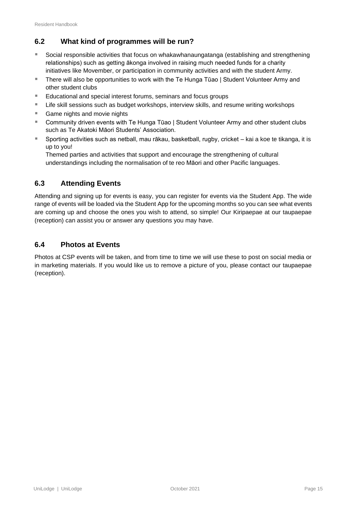# <span id="page-15-0"></span>**6.2 What kind of programmes will be run?**

- Social responsible activities that focus on whakawhanaungatanga (establishing and strengthening relationships) such as getting ākonga involved in raising much needed funds for a charity initiatives like Movember, or participation in community activities and with the student Army.
- There will also be opportunities to work with the Te Hunga Tūao | Student Volunteer Army and other student clubs
- Educational and special interest forums, seminars and focus groups
- **E** Life skill sessions such as budget workshops, interview skills, and resume writing workshops
- Game nights and movie nights
- Community driven events with Te Hunga Tūao | Student Volunteer Army and other student clubs such as Te Akatoki Māori Students' Association.
- Sporting activities such as netball, mau rākau, basketball, rugby, cricket kai a koe te tikanga, it is up to you!

Themed parties and activities that support and encourage the strengthening of cultural understandings including the normalisation of te reo Māori and other Pacific languages.

# <span id="page-15-1"></span>**6.3 Attending Events**

Attending and signing up for events is easy, you can register for events via the Student App. The wide range of events will be loaded via the Student App for the upcoming months so you can see what events are coming up and choose the ones you wish to attend, so simple! Our Kiripaepae at our taupaepae (reception) can assist you or answer any questions you may have.

## <span id="page-15-2"></span>**6.4 Photos at Events**

Photos at CSP events will be taken, and from time to time we will use these to post on social media or in marketing materials. If you would like us to remove a picture of you, please contact our taupaepae (reception).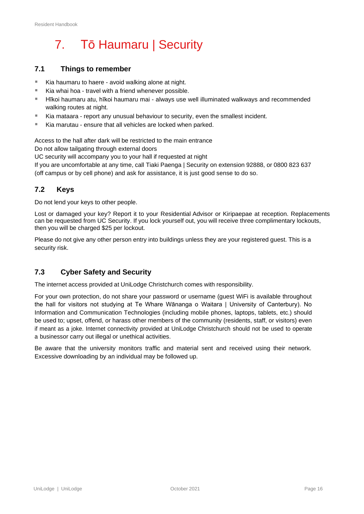# <span id="page-16-0"></span>7. Tō Haumaru | Security

## <span id="page-16-1"></span>**7.1 Things to remember**

- Kia haumaru to haere avoid walking alone at night.
- Kia whai hoa travel with a friend whenever possible.
- Hīkoi haumaru atu, hīkoi haumaru mai always use well illuminated walkways and recommended walking routes at night.
- Kia mataara report any unusual behaviour to security, even the smallest incident.
- Kia marutau ensure that all vehicles are locked when parked.

Access to the hall after dark will be restricted to the main entrance Do not allow tailgating through external doors

UC security will accompany you to your hall if requested at night

If you are uncomfortable at any time, call Tiaki Paenga | Security on extension 92888, or 0800 823 637 (off campus or by cell phone) and ask for assistance, it is just good sense to do so.

## <span id="page-16-2"></span>**7.2 Keys**

Do not lend your keys to other people.

Lost or damaged your key? Report it to your Residential Advisor or Kiripaepae at reception. Replacements can be requested from UC Security. If you lock yourself out, you will receive three complimentary lockouts, then you will be charged \$25 per lockout.

Please do not give any other person entry into buildings unless they are your registered guest. This is a security risk.

## <span id="page-16-3"></span>**7.3 Cyber Safety and Security**

The internet access provided at UniLodge Christchurch comes with responsibility.

For your own protection, do not share your password or username (guest WiFi is available throughout the hall for visitors not studying at Te Whare Wānanga o Waitara | University of Canterbury). No Information and Communication Technologies (including mobile phones, laptops, tablets, etc.) should be used to; upset, offend, or harass other members of the community (residents, staff, or visitors) even if meant as a joke. Internet connectivity provided at UniLodge Christchurch should not be used to operate a businessor carry out illegal or unethical activities.

Be aware that the university monitors traffic and material sent and received using their network. Excessive downloading by an individual may be followed up.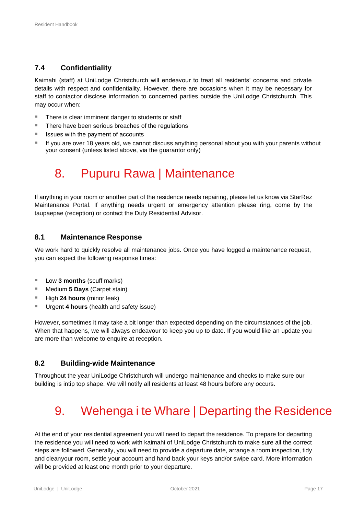# <span id="page-17-0"></span>**7.4 Confidentiality**

Kaimahi (staff) at UniLodge Christchurch will endeavour to treat all residents' concerns and private details with respect and confidentiality. However, there are occasions when it may be necessary for staff to contactor disclose information to concerned parties outside the UniLodge Christchurch. This may occur when:

- There is clear imminent danger to students or staff
- There have been serious breaches of the regulations
- Issues with the payment of accounts
- If you are over 18 years old, we cannot discuss anything personal about you with your parents without your consent (unless listed above, via the guarantor only)

# <span id="page-17-1"></span>8. Pupuru Rawa | Maintenance

If anything in your room or another part of the residence needs repairing, please let us know via StarRez Maintenance Portal. If anything needs urgent or emergency attention please ring, come by the taupaepae (reception) or contact the Duty Residential Advisor.

### <span id="page-17-2"></span>**8.1 Maintenance Response**

We work hard to quickly resolve all maintenance jobs. Once you have logged a maintenance request, you can expect the following response times:

- Low **3 months** (scuff marks)
- Medium **5 Days** (Carpet stain)
- High 24 hours (minor leak)
- Urgent 4 hours (health and safety issue)

However, sometimes it may take a bit longer than expected depending on the circumstances of the job. When that happens, we will always endeavour to keep you up to date. If you would like an update you are more than welcome to enquire at reception.

## <span id="page-17-3"></span>**8.2 Building-wide Maintenance**

Throughout the year UniLodge Christchurch will undergo maintenance and checks to make sure our building is intip top shape. We will notify all residents at least 48 hours before any occurs.

# <span id="page-17-4"></span>9. Wehenga i te Whare | Departing the Residence

At the end of your residential agreement you will need to depart the residence. To prepare for departing the residence you will need to work with kaimahi of UniLodge Christchurch to make sure all the correct steps are followed. Generally, you will need to provide a departure date, arrange a room inspection, tidy and cleanyour room, settle your account and hand back your keys and/or swipe card. More information will be provided at least one month prior to your departure.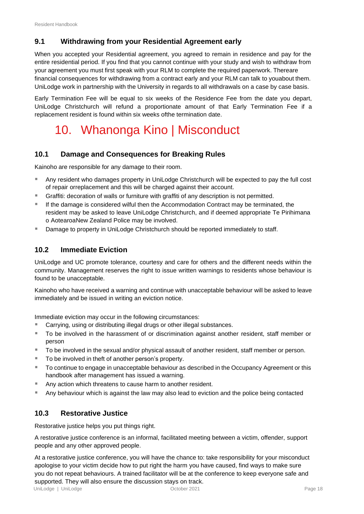# <span id="page-18-0"></span>**9.1 Withdrawing from your Residential Agreement early**

When you accepted your Residential agreement, you agreed to remain in residence and pay for the entire residential period. If you find that you cannot continue with your study and wish to withdraw from your agreement you must first speak with your RLM to complete the required paperwork. Thereare financial consequences for withdrawing from a contract early and your RLM can talk to youabout them. UniLodge work in partnership with the University in regards to all withdrawals on a case by case basis.

<span id="page-18-1"></span>Early Termination Fee will be equal to six weeks of the Residence Fee from the date you depart, UniLodge Christchurch will refund a proportionate amount of that Early Termination Fee if a replacement resident is found within six weeks ofthe termination date.

# 10. Whanonga Kino | Misconduct

# <span id="page-18-2"></span>**10.1 Damage and Consequences for Breaking Rules**

Kainoho are responsible for any damage to their room.

- Any resident who damages property in UniLodge Christchurch will be expected to pay the full cost of repair orreplacement and this will be charged against their account.
- **EXECT** Graffiti: decoration of walls or furniture with graffiti of any description is not permitted.
- If the damage is considered wilful then the Accommodation Contract may be terminated, the resident may be asked to leave UniLodge Christchurch, and if deemed appropriate Te Pirihimana o AotearoaNew Zealand Police may be involved.
- **■** Damage to property in UniLodge Christchurch should be reported immediately to staff.

## <span id="page-18-3"></span>**10.2 Immediate Eviction**

UniLodge and UC promote tolerance, courtesy and care for others and the different needs within the community. Management reserves the right to issue written warnings to residents whose behaviour is found to be unacceptable.

Kainoho who have received a warning and continue with unacceptable behaviour will be asked to leave immediately and be issued in writing an eviction notice.

Immediate eviction may occur in the following circumstances:

- Carrying, using or distributing illegal drugs or other illegal substances.
- To be involved in the harassment of or discrimination against another resident, staff member or person
- To be involved in the sexual and/or physical assault of another resident, staff member or person.
- To be involved in theft of another person's property.
- To continue to engage in unacceptable behaviour as described in the Occupancy Agreement or this handbook after management has issued a warning.
- Any action which threatens to cause harm to another resident.
- Any behaviour which is against the law may also lead to eviction and the police being contacted

## <span id="page-18-4"></span>**10.3 Restorative Justice**

Restorative justice helps you put things right.

A restorative justice conference is an informal, facilitated meeting between a victim, offender, support people and any other approved people.

At a restorative justice conference, you will have the chance to: take responsibility for your misconduct apologise to your victim decide how to put right the harm you have caused, find ways to make sure you do not repeat behaviours. A trained facilitator will be at the conference to keep everyone safe and supported. They will also ensure the discussion stays on track.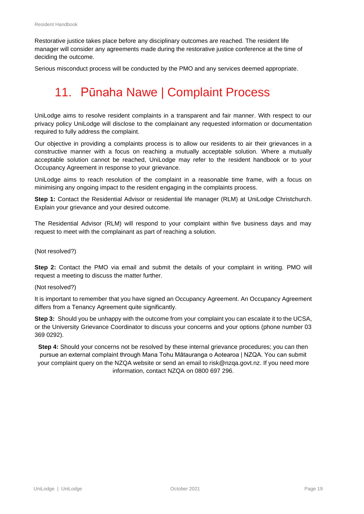Restorative justice takes place before any disciplinary outcomes are reached. The resident life manager will consider any agreements made during the restorative justice conference at the time of deciding the outcome.

<span id="page-19-0"></span>Serious misconduct process will be conducted by the PMO and any services deemed appropriate.

# 11. Pūnaha Nawe | Complaint Process

UniLodge aims to resolve resident complaints in a transparent and fair manner. With respect to our privacy policy UniLodge will disclose to the complainant any requested information or documentation required to fully address the complaint.

Our objective in providing a complaints process is to allow our residents to air their grievances in a constructive manner with a focus on reaching a mutually acceptable solution. Where a mutually acceptable solution cannot be reached, UniLodge may refer to the resident handbook or to your Occupancy Agreement in response to your grievance.

UniLodge aims to reach resolution of the complaint in a reasonable time frame, with a focus on minimising any ongoing impact to the resident engaging in the complaints process.

**Step 1:** Contact the Residential Advisor or residential life manager (RLM) at UniLodge Christchurch. Explain your grievance and your desired outcome.

The Residential Advisor (RLM) will respond to your complaint within five business days and may request to meet with the complainant as part of reaching a solution.

(Not resolved?)

**Step 2:** Contact the PMO via email and submit the details of your complaint in writing. PMO will request a meeting to discuss the matter further.

(Not resolved?)

It is important to remember that you have signed an Occupancy Agreement. An Occupancy Agreement differs from a Tenancy Agreement quite significantly.

**Step 3:** Should you be unhappy with the outcome from your complaint you can escalate it to the UCSA, or the University Grievance Coordinator to discuss your concerns and your options (phone number 03 369 0292).

**Step 4:** Should your concerns not be resolved by these internal grievance procedures; you can then pursue an external complaint through Mana Tohu Mātauranga o Aotearoa | NZQA. You can submit your complaint query on the NZQA website or send an email to [risk@nzqa.govt.nz. I](mailto:risk@nzqa.govt.nz)f you need more information, contact NZQA on 0800 697 296.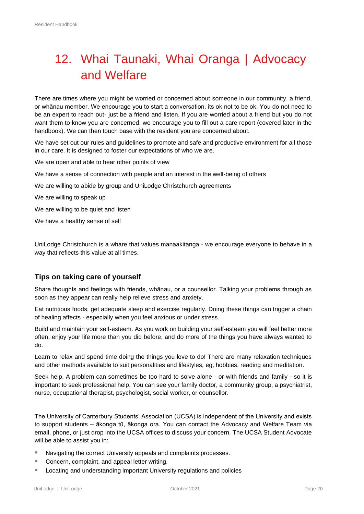# <span id="page-20-0"></span>12. Whai Taunaki, Whai Oranga | Advocacy and Welfare

There are times where you might be worried or concerned about someone in our community, a friend, or whānau member. We encourage you to start a conversation, its ok not to be ok. You do not need to be an expert to reach out- just be a friend and listen. If you are worried about a friend but you do not want them to know you are concerned, we encourage you to fill out a care report (covered later in the handbook). We can then touch base with the resident you are concerned about.

We have set out our rules and guidelines to promote and safe and productive environment for all those in our care. It is designed to foster our expectations of who we are.

We are open and able to hear other points of view

We have a sense of connection with people and an interest in the well-being of others

We are willing to abide by group and UniLodge Christchurch agreements

We are willing to speak up

We are willing to be quiet and listen

We have a healthy sense of self

UniLodge Christchurch is a whare that values manaakitanga - we encourage everyone to behave in a way that reflects this value at all times.

### <span id="page-20-1"></span>**Tips on taking care of yourself**

Share thoughts and feelings with friends, whānau, or a counsellor. Talking your problems through as soon as they appear can really help relieve stress and anxiety.

Eat nutritious foods, get adequate sleep and exercise regularly. Doing these things can trigger a chain of healing affects - especially when you feel anxious or under stress.

Build and maintain your self-esteem. As you work on building your self-esteem you will feel better more often, enjoy your life more than you did before, and do more of the things you have always wanted to do.

Learn to relax and spend time doing the things you love to do! There are many relaxation techniques and other methods available to suit personalities and lifestyles, eg, hobbies, reading and meditation.

Seek help. A problem can sometimes be too hard to solve alone - or with friends and family - so it is important to seek professional help. You can see your family doctor, a community group, a psychiatrist, nurse, occupational therapist, psychologist, social worker, or counsellor.

The University of Canterbury Students' Association (UCSA) is independent of the University and exists to support students – ākonga tū, ākonga ora. You can contact the Advocacy and Welfare Team via email, phone, or just drop into the UCSA offices to discuss your concern. The UCSA Student Advocate will be able to assist you in:

- Navigating the correct University appeals and complaints processes.
- Concern, complaint, and appeal letter writing.
- Locating and understanding important University regulations and policies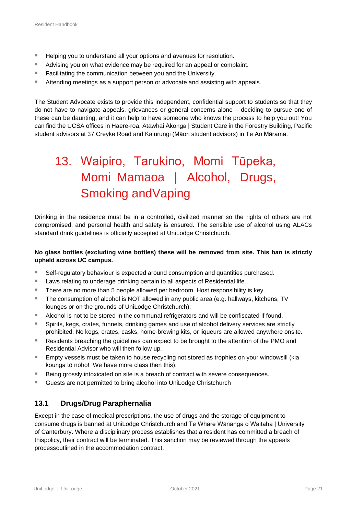- Helping you to understand all your options and avenues for resolution.
- Advising you on what evidence may be required for an appeal or complaint.
- Facilitating the communication between you and the University.
- Attending meetings as a support person or advocate and assisting with appeals.

The Student Advocate exists to provide this independent, confidential support to students so that they do not have to navigate appeals, grievances or general concerns alone – deciding to pursue one of these can be daunting, and it can help to have someone who knows the process to help you out! You can find the UCSA offices in Haere-roa, Atawhai Ākonga | Student Care in the Forestry Building, Pacific student advisors at 37 Creyke Road and Kaiurungi (Māori student advisors) in Te Ao Mārama.

# <span id="page-21-0"></span>13. Waipiro, Tarukino, Momi Tūpeka, Momi Mamaoa | Alcohol, Drugs, Smoking andVaping

Drinking in the residence must be in a controlled, civilized manner so the rights of others are not compromised, and personal health and safety is ensured. The sensible use of alcohol using ALACs standard drink guidelines is officially accepted at UniLodge Christchurch.

#### **No glass bottles (excluding wine bottles) these will be removed from site. This ban is strictly upheld across UC campus.**

- Self-regulatory behaviour is expected around consumption and quantities purchased.
- Laws relating to underage drinking pertain to all aspects of Residential life.
- There are no more than 5 people allowed per bedroom. Host responsibility is key.
- The consumption of alcohol is NOT allowed in any public area (e.g. hallways, kitchens, TV lounges or on the grounds of UniLodge Christchurch).
- Alcohol is not to be stored in the communal refrigerators and will be confiscated if found.
- Spirits, kegs, crates, funnels, drinking games and use of alcohol delivery services are strictly prohibited. No kegs, crates, casks, home-brewing kits, or liqueurs are allowed anywhere onsite.
- Residents breaching the guidelines can expect to be brought to the attention of the PMO and Residential Advisor who will then follow up.
- Empty vessels must be taken to house recycling not stored as trophies on your windowsill (kia kounga tō noho! We have more class then this).
- Being grossly intoxicated on site is a breach of contract with severe consequences.
- Guests are not permitted to bring alcohol into UniLodge Christchurch

# <span id="page-21-1"></span>**13.1 Drugs/Drug Paraphernalia**

Except in the case of medical prescriptions, the use of drugs and the storage of equipment to consume drugs is banned at UniLodge Christchurch and Te Whare Wānanga o Waitaha | University of Canterbury. Where a disciplinary process establishes that a resident has committed a breach of thispolicy, their contract will be terminated. This sanction may be reviewed through the appeals processoutlined in the accommodation contract.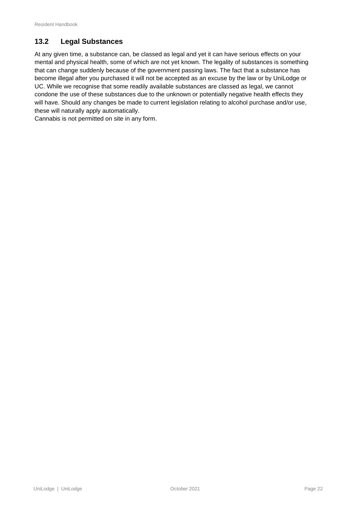# <span id="page-22-0"></span>**13.2 Legal Substances**

At any given time, a substance can, be classed as legal and yet it can have serious effects on your mental and physical health, some of which are not yet known. The legality of substances is something that can change suddenly because of the government passing laws. The fact that a substance has become illegal after you purchased it will not be accepted as an excuse by the law or by UniLodge or UC. While we recognise that some readily available substances are classed as legal, we cannot condone the use of these substances due to the unknown or potentially negative health effects they will have. Should any changes be made to current legislation relating to alcohol purchase and/or use, these will naturally apply automatically.

Cannabis is not permitted on site in any form.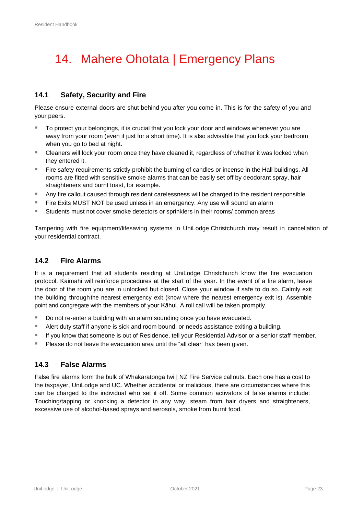# <span id="page-23-0"></span>14. Mahere Ohotata | Emergency Plans

# <span id="page-23-1"></span>**14.1 Safety, Security and Fire**

Please ensure external doors are shut behind you after you come in. This is for the safety of you and your peers.

- To protect your belongings, it is crucial that you lock your door and windows whenever you are away from your room (even if just for a short time). It is also advisable that you lock your bedroom when you go to bed at night.
- Cleaners will lock your room once they have cleaned it, regardless of whether it was locked when they entered it.
- Fire safety requirements strictly prohibit the burning of candles or incense in the Hall buildings. All rooms are fitted with sensitive smoke alarms that can be easily set off by deodorant spray, hair straighteners and burnt toast, for example.
- Any fire callout caused through resident carelessness will be charged to the resident responsible.
- Fire Exits MUST NOT be used unless in an emergency. Any use will sound an alarm
- Students must not cover smoke detectors or sprinklers in their rooms/ common areas

Tampering with fire equipment/lifesaving systems in UniLodge Christchurch may result in cancellation of your residential contract.

### <span id="page-23-2"></span>**14.2 Fire Alarms**

It is a requirement that all students residing at UniLodge Christchurch know the fire evacuation protocol. Kaimahi will reinforce procedures at the start of the year. In the event of a fire alarm, leave the door of the room you are in unlocked but closed. Close your window if safe to do so. Calmly exit the building through the nearest emergency exit (know where the nearest emergency exit is). Assemble point and congregate with the members of your Kāhui. A roll call will be taken promptly.

- Do not re-enter a building with an alarm sounding once you have evacuated.
- Alert duty staff if anyone is sick and room bound, or needs assistance exiting a building.
- If you know that someone is out of Residence, tell your Residential Advisor or a senior staff member.
- Please do not leave the evacuation area until the "all clear" has been given.

### <span id="page-23-3"></span>**14.3 False Alarms**

False fire alarms form the bulk of Whakaratonga Iwi | NZ Fire Service callouts. Each one has a cost to the taxpayer, UniLodge and UC. Whether accidental or malicious, there are circumstances where this can be charged to the individual who set it off. Some common activators of false alarms include: Touching/tapping or knocking a detector in any way, steam from hair dryers and straighteners, excessive use of alcohol-based sprays and aerosols, smoke from burnt food.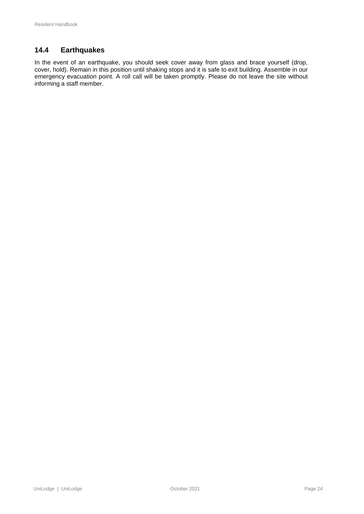# <span id="page-24-0"></span>**14.4 Earthquakes**

In the event of an earthquake, you should seek cover away from glass and brace yourself (drop, cover, hold). Remain in this position until shaking stops and it is safe to exit building. Assemble in our emergency evacuation point. A roll call will be taken promptly. Please do not leave the site without informing a staff member.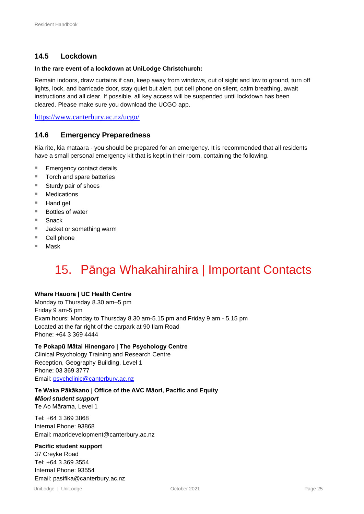# <span id="page-25-0"></span>**14.5 Lockdown**

#### **In the rare event of a lockdown at UniLodge Christchurch:**

Remain indoors, draw curtains if can, keep away from windows, out of sight and low to ground, turn off lights, lock, and barricade door, stay quiet but alert, put cell phone on silent, calm breathing, await instructions and all clear. If possible, all key access will be suspended until lockdown has been cleared. Please make sure you download the UCGO app.

<https://www.canterbury.ac.nz/ucgo/>

## <span id="page-25-1"></span>**14.6 Emergency Preparedness**

Kia rite, kia mataara - you should be prepared for an emergency. It is recommended that all residents have a small personal emergency kit that is kept in their room, containing the following.

- Emergency contact details
- Torch and spare batteries
- Sturdy pair of shoes
- Medications
- Hand gel
- Bottles of water
- Snack
- Jacket or something warm
- Cell phone
- <span id="page-25-2"></span>■ Mask

# 15. Pānga Whakahirahira | Important Contacts

#### **Whare Hauora | UC Health Centre**

Monday to Thursday 8.30 am–5 pm Friday 9 am-5 pm Exam hours: Monday to Thursday 8.30 am-5.15 pm and Friday 9 am - 5.15 pm Located at the far right of the carpark at 90 Ilam Road Phone: +64 3 369 4444

#### **Te Pokapū Mātai Hinengaro | The Psychology Centre**

Clinical Psychology Training and Research Centre Reception, Geography Building, Level 1 Phone: 03 369 3777 Email: [psychclinic@canterbury.ac.nz](mailto:psychclinic@canterbury.ac.nz)

### **Te Waka Pākākano | Office of the AVC Māori, Pacific and Equity**

## *Māori student support*

Te Ao Mārama, Level 1

Tel: +64 3 369 3868 Internal Phone: 93868 Email: [maoridevelopment@canterbury.ac.nz](mailto:maoridevelopment@canterbury.ac.nz)

#### **Pacific student support**

37 Creyke Road Tel: +64 3 369 3554 Internal Phone: 93554 Email: [pasifika@canterbury.ac.nz](mailto:pasifika@canterbury.ac.nz)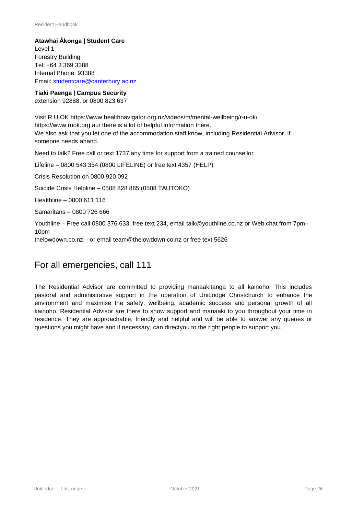**Atawhai Ākonga | Student Care** Level 1 Forestry Building Tel: +64 3 369 3388 Internal Phone: 93388 Email: [studentcare@canterbury.ac.nz](mailto:studentcare@canterbury.ac.nz)

**Tiaki Paenga | Campus Security** extension 92888, or 0800 823 637

Visit R U OK http[s://www](http://www.healthnavigator.org.nz/videos/m/mental-wellbeing/r-u-ok/).[healthnavigator.org.nz/videos/m/mental-wellbeing/r-u-ok/](http://www.healthnavigator.org.nz/videos/m/mental-wellbeing/r-u-ok/) http[s://www.ru](http://www.ruok.org.au/)o[k.org.au/](http://www.ruok.org.au/) there is a lot of helpful information there. We also ask that you let one of the accommodation staff know, including Residential Advisor, if someone needs ahand.

Need to talk? Free call or text 1737 any time for support from a trained counsellor

Lifeline – 0800 543 354 (0800 LIFELINE) or free text 4357 (HELP)

Crisis Resolution on 0800 920 092

Suicide Crisis Helpline – 0508 828 865 (0508 TAUTOKO)

Healthline – 0800 611 116

Samaritans – 0800 726 666

Youthline – Free call 0800 376 633, free text 234, email [talk@youthline.co.nz o](mailto:talk@youthline.co.nz)r Web chat from 7pm– 10pm

thelowdown.co.nz – or email [team@thelowdown.co.nz o](mailto:team@thelowdown.co.nz)r free text 5626

# For all emergencies, call 111

The Residential Advisor are committed to providing manaakitanga to all kainoho. This includes pastoral and administrative support in the operation of UniLodge Christchurch to enhance the environment and maximise the safety, wellbeing, academic success and personal growth of all kainoho. Residential Advisor are there to show support and manaaki to you throughout your time in residence. They are approachable, friendly and helpful and will be able to answer any queries or questions you might have and if necessary, can directyou to the right people to support you.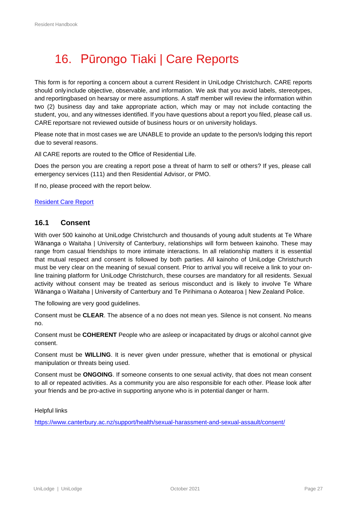# <span id="page-27-0"></span>16. Pūrongo Tiaki | Care Reports

This form is for reporting a concern about a current Resident in UniLodge Christchurch. CARE reports should onlyinclude objective, observable, and information. We ask that you avoid labels, stereotypes, and reportingbased on hearsay or mere assumptions. A staff member will review the information within two (2) business day and take appropriate action, which may or may not include contacting the student, you, and any witnesses identified. If you have questions about a report you filed, please call us. CARE reportsare not reviewed outside of business hours or on university holidays.

Please note that in most cases we are UNABLE to provide an update to the person/s lodging this report due to several reasons.

All CARE reports are routed to the Office of Residential Life.

Does the person you are creating a report pose a threat of harm to self or others? If yes, please call emergency services (111) and then Residential Advisor, or PMO.

If no, please proceed with the report below.

#### [Resident](https://app.smartsheet.com/b/form/f0b46769e44c43c4a39ac550ceb4f476) Care Report

#### <span id="page-27-1"></span>**16.1 Consent**

With over 500 kainoho at UniLodge Christchurch and thousands of young adult students at Te Whare Wānanga o Waitaha | University of Canterbury, relationships will form between kainoho. These may range from casual friendships to more intimate interactions. In all relationship matters it is essential that mutual respect and consent is followed by both parties. All kainoho of UniLodge Christchurch must be very clear on the meaning of sexual consent. Prior to arrival you will receive a link to your online training platform for UniLodge Christchurch, these courses are mandatory for all residents. Sexual activity without consent may be treated as serious misconduct and is likely to involve Te Whare Wānanga o Waitaha | University of Canterbury and Te Pirihimana o Aotearoa | New Zealand Police.

The following are very good guidelines.

Consent must be **CLEAR**. The absence of a no does not mean yes. Silence is not consent. No means no.

Consent must be **COHERENT** People who are asleep or incapacitated by drugs or alcohol cannot give consent.

Consent must be **WILLING**. It is never given under pressure, whether that is emotional or physical manipulation or threats being used.

Consent must be **ONGOING**. If someone consents to one sexual activity, that does not mean consent to all or repeated activities. As a community you are also responsible for each other. Please look after your friends and be pro-active in supporting anyone who is in potential danger or harm.

Helpful links

<https://www.canterbury.ac.nz/support/health/sexual-harassment-and-sexual-assault/consent/>